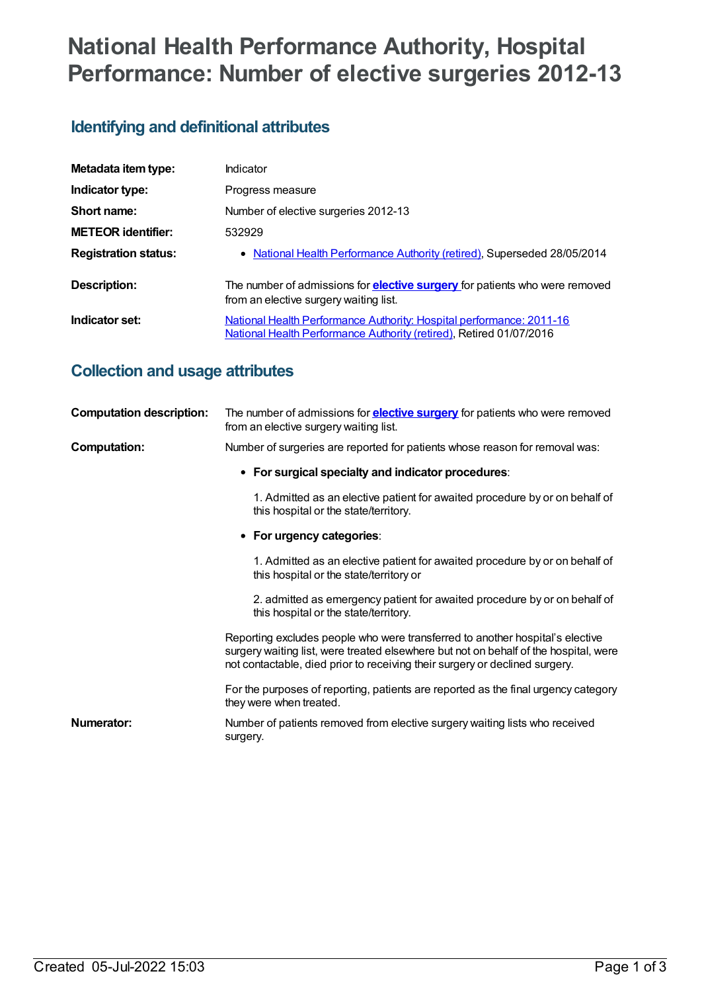# **National Health Performance Authority, Hospital Performance: Number of elective surgeries 2012-13**

### **Identifying and definitional attributes**

| Metadata item type:         | Indicator                                                                                                                                   |
|-----------------------------|---------------------------------------------------------------------------------------------------------------------------------------------|
| Indicator type:             | Progress measure                                                                                                                            |
| Short name:                 | Number of elective surgeries 2012-13                                                                                                        |
| <b>METEOR identifier:</b>   | 532929                                                                                                                                      |
| <b>Registration status:</b> | • National Health Performance Authority (retired), Superseded 28/05/2014                                                                    |
| <b>Description:</b>         | The number of admissions for <b>elective surgery</b> for patients who were removed<br>from an elective surgery waiting list.                |
| Indicator set:              | National Health Performance Authority: Hospital performance: 2011-16<br>National Health Performance Authority (retired), Retired 01/07/2016 |

### **Collection and usage attributes**

| <b>Computation description:</b> | The number of admissions for <b>elective surgery</b> for patients who were removed<br>from an elective surgery waiting list.                                                                                                                         |
|---------------------------------|------------------------------------------------------------------------------------------------------------------------------------------------------------------------------------------------------------------------------------------------------|
| Computation:                    | Number of surgeries are reported for patients whose reason for removal was:                                                                                                                                                                          |
|                                 | • For surgical specialty and indicator procedures:                                                                                                                                                                                                   |
|                                 | 1. Admitted as an elective patient for awaited procedure by or on behalf of<br>this hospital or the state/territory.                                                                                                                                 |
|                                 | • For urgency categories:                                                                                                                                                                                                                            |
|                                 | 1. Admitted as an elective patient for awaited procedure by or on behalf of<br>this hospital or the state/territory or                                                                                                                               |
|                                 | 2. admitted as emergency patient for awaited procedure by or on behalf of<br>this hospital or the state/territory.                                                                                                                                   |
|                                 | Reporting excludes people who were transferred to another hospital's elective<br>surgery waiting list, were treated elsewhere but not on behalf of the hospital, were<br>not contactable, died prior to receiving their surgery or declined surgery. |
|                                 | For the purposes of reporting, patients are reported as the final urgency category<br>they were when treated.                                                                                                                                        |
| <b>Numerator:</b>               | Number of patients removed from elective surgery waiting lists who received<br>surgery.                                                                                                                                                              |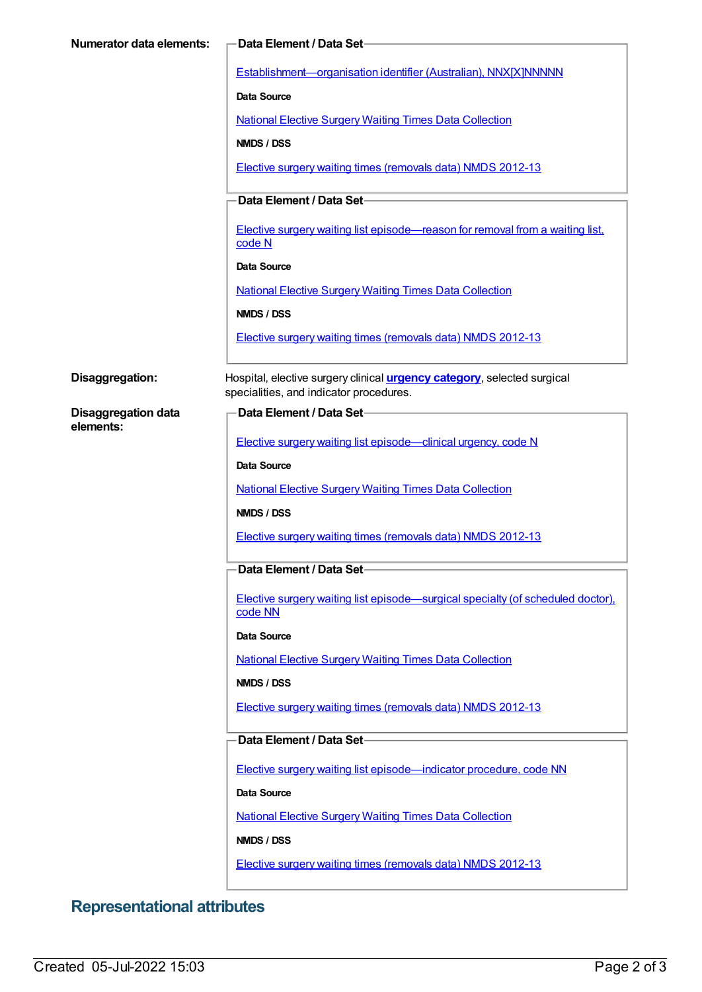| Establishment-organisation identifier (Australian), NNX[X]NNNNN<br><b>Data Source</b><br><b>National Elective Surgery Waiting Times Data Collection</b><br>NMDS / DSS<br>Elective surgery waiting times (removals data) NMDS 2012-13<br>Data Element / Data Set-<br>Elective surgery waiting list episode-reason for removal from a waiting list,<br>code N<br><b>Data Source</b><br><b>National Elective Surgery Waiting Times Data Collection</b><br>NMDS / DSS<br>Elective surgery waiting times (removals data) NMDS 2012-13<br>Hospital, elective surgery clinical <i>urgency category</i> , selected surgical<br>specialities, and indicator procedures.<br>Data Element / Data Set-<br><b>Disaggregation data</b><br>elements:<br>Elective surgery waiting list episode—clinical urgency, code N<br>Data Source<br><b>National Elective Surgery Waiting Times Data Collection</b><br>NMDS / DSS<br><b>Elective surgery waiting times (removals data) NMDS 2012-13</b><br>Data Element / Data Set-<br>Elective surgery waiting list episode—surgical specialty (of scheduled doctor).<br>code NN<br>Data Source<br><b>National Elective Surgery Waiting Times Data Collection</b><br>NMDS / DSS<br>Elective surgery waiting times (removals data) NMDS 2012-13<br>Data Element / Data Set-<br>Elective surgery waiting list episode-indicator procedure, code NN<br>Data Source<br><b>National Elective Surgery Waiting Times Data Collection</b><br>NMDS / DSS | Numerator data elements: | Data Element / Data Set-                                    |
|-----------------------------------------------------------------------------------------------------------------------------------------------------------------------------------------------------------------------------------------------------------------------------------------------------------------------------------------------------------------------------------------------------------------------------------------------------------------------------------------------------------------------------------------------------------------------------------------------------------------------------------------------------------------------------------------------------------------------------------------------------------------------------------------------------------------------------------------------------------------------------------------------------------------------------------------------------------------------------------------------------------------------------------------------------------------------------------------------------------------------------------------------------------------------------------------------------------------------------------------------------------------------------------------------------------------------------------------------------------------------------------------------------------------------------------------------------------------------|--------------------------|-------------------------------------------------------------|
|                                                                                                                                                                                                                                                                                                                                                                                                                                                                                                                                                                                                                                                                                                                                                                                                                                                                                                                                                                                                                                                                                                                                                                                                                                                                                                                                                                                                                                                                       |                          |                                                             |
|                                                                                                                                                                                                                                                                                                                                                                                                                                                                                                                                                                                                                                                                                                                                                                                                                                                                                                                                                                                                                                                                                                                                                                                                                                                                                                                                                                                                                                                                       |                          |                                                             |
|                                                                                                                                                                                                                                                                                                                                                                                                                                                                                                                                                                                                                                                                                                                                                                                                                                                                                                                                                                                                                                                                                                                                                                                                                                                                                                                                                                                                                                                                       |                          |                                                             |
|                                                                                                                                                                                                                                                                                                                                                                                                                                                                                                                                                                                                                                                                                                                                                                                                                                                                                                                                                                                                                                                                                                                                                                                                                                                                                                                                                                                                                                                                       |                          |                                                             |
|                                                                                                                                                                                                                                                                                                                                                                                                                                                                                                                                                                                                                                                                                                                                                                                                                                                                                                                                                                                                                                                                                                                                                                                                                                                                                                                                                                                                                                                                       |                          |                                                             |
|                                                                                                                                                                                                                                                                                                                                                                                                                                                                                                                                                                                                                                                                                                                                                                                                                                                                                                                                                                                                                                                                                                                                                                                                                                                                                                                                                                                                                                                                       |                          |                                                             |
|                                                                                                                                                                                                                                                                                                                                                                                                                                                                                                                                                                                                                                                                                                                                                                                                                                                                                                                                                                                                                                                                                                                                                                                                                                                                                                                                                                                                                                                                       |                          |                                                             |
|                                                                                                                                                                                                                                                                                                                                                                                                                                                                                                                                                                                                                                                                                                                                                                                                                                                                                                                                                                                                                                                                                                                                                                                                                                                                                                                                                                                                                                                                       |                          |                                                             |
|                                                                                                                                                                                                                                                                                                                                                                                                                                                                                                                                                                                                                                                                                                                                                                                                                                                                                                                                                                                                                                                                                                                                                                                                                                                                                                                                                                                                                                                                       |                          |                                                             |
|                                                                                                                                                                                                                                                                                                                                                                                                                                                                                                                                                                                                                                                                                                                                                                                                                                                                                                                                                                                                                                                                                                                                                                                                                                                                                                                                                                                                                                                                       |                          |                                                             |
|                                                                                                                                                                                                                                                                                                                                                                                                                                                                                                                                                                                                                                                                                                                                                                                                                                                                                                                                                                                                                                                                                                                                                                                                                                                                                                                                                                                                                                                                       |                          |                                                             |
|                                                                                                                                                                                                                                                                                                                                                                                                                                                                                                                                                                                                                                                                                                                                                                                                                                                                                                                                                                                                                                                                                                                                                                                                                                                                                                                                                                                                                                                                       |                          |                                                             |
|                                                                                                                                                                                                                                                                                                                                                                                                                                                                                                                                                                                                                                                                                                                                                                                                                                                                                                                                                                                                                                                                                                                                                                                                                                                                                                                                                                                                                                                                       | Disaggregation:          |                                                             |
|                                                                                                                                                                                                                                                                                                                                                                                                                                                                                                                                                                                                                                                                                                                                                                                                                                                                                                                                                                                                                                                                                                                                                                                                                                                                                                                                                                                                                                                                       |                          |                                                             |
|                                                                                                                                                                                                                                                                                                                                                                                                                                                                                                                                                                                                                                                                                                                                                                                                                                                                                                                                                                                                                                                                                                                                                                                                                                                                                                                                                                                                                                                                       |                          |                                                             |
|                                                                                                                                                                                                                                                                                                                                                                                                                                                                                                                                                                                                                                                                                                                                                                                                                                                                                                                                                                                                                                                                                                                                                                                                                                                                                                                                                                                                                                                                       |                          |                                                             |
|                                                                                                                                                                                                                                                                                                                                                                                                                                                                                                                                                                                                                                                                                                                                                                                                                                                                                                                                                                                                                                                                                                                                                                                                                                                                                                                                                                                                                                                                       |                          |                                                             |
|                                                                                                                                                                                                                                                                                                                                                                                                                                                                                                                                                                                                                                                                                                                                                                                                                                                                                                                                                                                                                                                                                                                                                                                                                                                                                                                                                                                                                                                                       |                          |                                                             |
|                                                                                                                                                                                                                                                                                                                                                                                                                                                                                                                                                                                                                                                                                                                                                                                                                                                                                                                                                                                                                                                                                                                                                                                                                                                                                                                                                                                                                                                                       |                          |                                                             |
|                                                                                                                                                                                                                                                                                                                                                                                                                                                                                                                                                                                                                                                                                                                                                                                                                                                                                                                                                                                                                                                                                                                                                                                                                                                                                                                                                                                                                                                                       |                          |                                                             |
|                                                                                                                                                                                                                                                                                                                                                                                                                                                                                                                                                                                                                                                                                                                                                                                                                                                                                                                                                                                                                                                                                                                                                                                                                                                                                                                                                                                                                                                                       |                          |                                                             |
|                                                                                                                                                                                                                                                                                                                                                                                                                                                                                                                                                                                                                                                                                                                                                                                                                                                                                                                                                                                                                                                                                                                                                                                                                                                                                                                                                                                                                                                                       |                          |                                                             |
|                                                                                                                                                                                                                                                                                                                                                                                                                                                                                                                                                                                                                                                                                                                                                                                                                                                                                                                                                                                                                                                                                                                                                                                                                                                                                                                                                                                                                                                                       |                          |                                                             |
|                                                                                                                                                                                                                                                                                                                                                                                                                                                                                                                                                                                                                                                                                                                                                                                                                                                                                                                                                                                                                                                                                                                                                                                                                                                                                                                                                                                                                                                                       |                          |                                                             |
|                                                                                                                                                                                                                                                                                                                                                                                                                                                                                                                                                                                                                                                                                                                                                                                                                                                                                                                                                                                                                                                                                                                                                                                                                                                                                                                                                                                                                                                                       |                          |                                                             |
|                                                                                                                                                                                                                                                                                                                                                                                                                                                                                                                                                                                                                                                                                                                                                                                                                                                                                                                                                                                                                                                                                                                                                                                                                                                                                                                                                                                                                                                                       |                          |                                                             |
|                                                                                                                                                                                                                                                                                                                                                                                                                                                                                                                                                                                                                                                                                                                                                                                                                                                                                                                                                                                                                                                                                                                                                                                                                                                                                                                                                                                                                                                                       |                          |                                                             |
|                                                                                                                                                                                                                                                                                                                                                                                                                                                                                                                                                                                                                                                                                                                                                                                                                                                                                                                                                                                                                                                                                                                                                                                                                                                                                                                                                                                                                                                                       |                          |                                                             |
|                                                                                                                                                                                                                                                                                                                                                                                                                                                                                                                                                                                                                                                                                                                                                                                                                                                                                                                                                                                                                                                                                                                                                                                                                                                                                                                                                                                                                                                                       |                          |                                                             |
|                                                                                                                                                                                                                                                                                                                                                                                                                                                                                                                                                                                                                                                                                                                                                                                                                                                                                                                                                                                                                                                                                                                                                                                                                                                                                                                                                                                                                                                                       |                          |                                                             |
|                                                                                                                                                                                                                                                                                                                                                                                                                                                                                                                                                                                                                                                                                                                                                                                                                                                                                                                                                                                                                                                                                                                                                                                                                                                                                                                                                                                                                                                                       |                          |                                                             |
|                                                                                                                                                                                                                                                                                                                                                                                                                                                                                                                                                                                                                                                                                                                                                                                                                                                                                                                                                                                                                                                                                                                                                                                                                                                                                                                                                                                                                                                                       |                          |                                                             |
|                                                                                                                                                                                                                                                                                                                                                                                                                                                                                                                                                                                                                                                                                                                                                                                                                                                                                                                                                                                                                                                                                                                                                                                                                                                                                                                                                                                                                                                                       |                          | Elective surgery waiting times (removals data) NMDS 2012-13 |

## **Representational attributes**